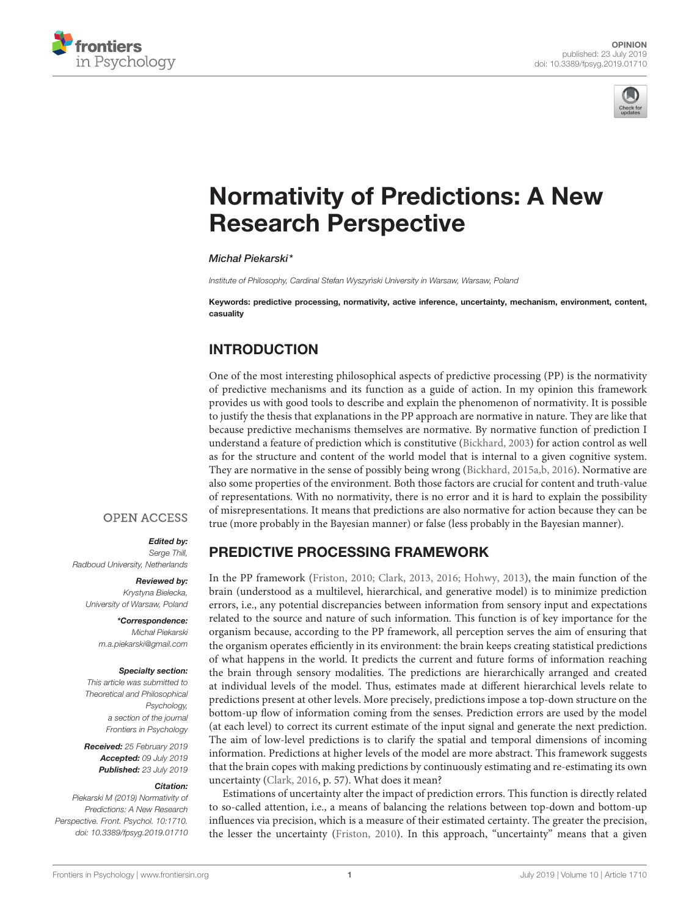



# [Normativity of Predictions: A New](https://www.frontiersin.org/articles/10.3389/fpsyg.2019.01710/full) Research Perspective

[Michał Piekarski\\*](http://loop.frontiersin.org/people/416935/overview)

*Institute of Philosophy, Cardinal Stefan Wyszynski University in Warsaw, Warsaw, Poland ´*

Keywords: predictive processing, normativity, active inference, uncertainty, mechanism, environment, content, casuality

# INTRODUCTION

One of the most interesting philosophical aspects of predictive processing (PP) is the normativity of predictive mechanisms and its function as a guide of action. In my opinion this framework provides us with good tools to describe and explain the phenomenon of normativity. It is possible to justify the thesis that explanations in the PP approach are normative in nature. They are like that because predictive mechanisms themselves are normative. By normative function of prediction I understand a feature of prediction which is constitutive [\(Bickhard, 2003\)](#page-3-0) for action control as well as for the structure and content of the world model that is internal to a given cognitive system. They are normative in the sense of possibly being wrong [\(Bickhard, 2015a](#page-3-1)[,b,](#page-3-2) [2016\)](#page-3-3). Normative are also some properties of the environment. Both those factors are crucial for content and truth-value of representations. With no normativity, there is no error and it is hard to explain the possibility of misrepresentations. It means that predictions are also normative for action because they can be true (more probably in the Bayesian manner) or false (less probably in the Bayesian manner).

#### **OPEN ACCESS**

#### Edited by:

*Serge Thill, Radboud University, Netherlands*

#### Reviewed by:

*Krystyna Bielecka, University of Warsaw, Poland*

> \*Correspondence: *Michał Piekarski [m.a.piekarski@gmail.com](mailto:m.a.piekarski@gmail.com)*

#### Specialty section:

*This article was submitted to Theoretical and Philosophical Psychology, a section of the journal Frontiers in Psychology*

Received: *25 February 2019* Accepted: *09 July 2019* Published: *23 July 2019*

#### Citation:

*Piekarski M (2019) Normativity of Predictions: A New Research Perspective. Front. Psychol. 10:1710. doi: [10.3389/fpsyg.2019.01710](https://doi.org/10.3389/fpsyg.2019.01710)* PREDICTIVE PROCESSING FRAMEWORK

In the PP framework [\(Friston, 2010;](#page-3-4) [Clark, 2013,](#page-3-5) [2016;](#page-3-6) [Hohwy, 2013\)](#page-3-7), the main function of the brain (understood as a multilevel, hierarchical, and generative model) is to minimize prediction errors, i.e., any potential discrepancies between information from sensory input and expectations related to the source and nature of such information. This function is of key importance for the organism because, according to the PP framework, all perception serves the aim of ensuring that the organism operates efficiently in its environment: the brain keeps creating statistical predictions of what happens in the world. It predicts the current and future forms of information reaching the brain through sensory modalities. The predictions are hierarchically arranged and created at individual levels of the model. Thus, estimates made at different hierarchical levels relate to predictions present at other levels. More precisely, predictions impose a top-down structure on the bottom-up flow of information coming from the senses. Prediction errors are used by the model (at each level) to correct its current estimate of the input signal and generate the next prediction. The aim of low-level predictions is to clarify the spatial and temporal dimensions of incoming information. Predictions at higher levels of the model are more abstract. This framework suggests that the brain copes with making predictions by continuously estimating and re-estimating its own uncertainty [\(Clark, 2016,](#page-3-6) p. 57). What does it mean?

Estimations of uncertainty alter the impact of prediction errors. This function is directly related to so-called attention, i.e., a means of balancing the relations between top-down and bottom-up influences via precision, which is a measure of their estimated certainty. The greater the precision, the lesser the uncertainty [\(Friston, 2010\)](#page-3-4). In this approach, "uncertainty" means that a given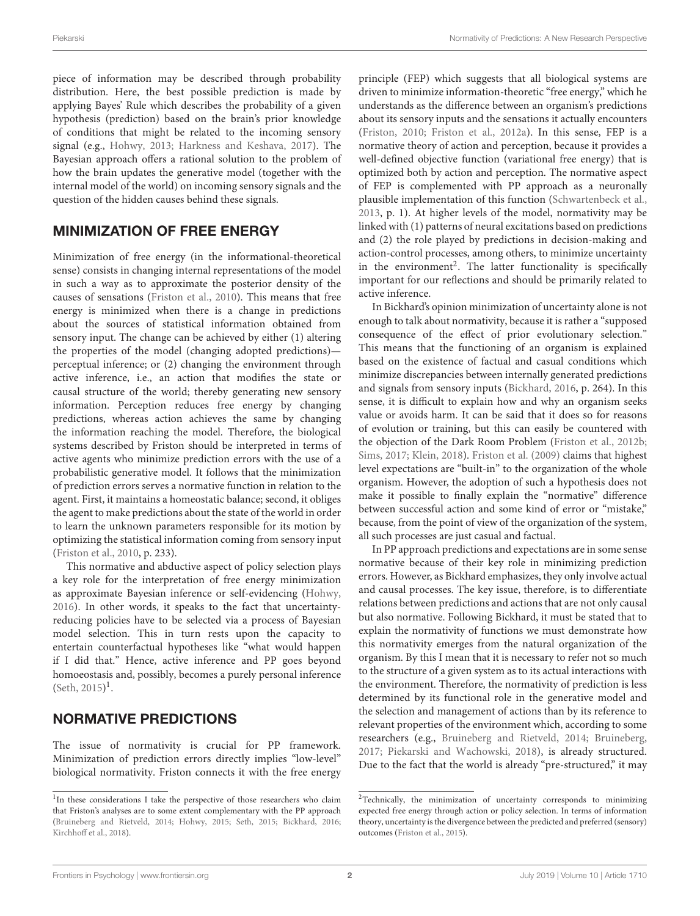piece of information may be described through probability distribution. Here, the best possible prediction is made by applying Bayes' Rule which describes the probability of a given hypothesis (prediction) based on the brain's prior knowledge of conditions that might be related to the incoming sensory signal (e.g., [Hohwy, 2013;](#page-3-7) [Harkness and Keshava, 2017\)](#page-3-8). The Bayesian approach offers a rational solution to the problem of how the brain updates the generative model (together with the internal model of the world) on incoming sensory signals and the question of the hidden causes behind these signals.

#### MINIMIZATION OF FREE ENERGY

Minimization of free energy (in the informational-theoretical sense) consists in changing internal representations of the model in such a way as to approximate the posterior density of the causes of sensations [\(Friston et al., 2010\)](#page-3-9). This means that free energy is minimized when there is a change in predictions about the sources of statistical information obtained from sensory input. The change can be achieved by either (1) altering the properties of the model (changing adopted predictions) perceptual inference; or (2) changing the environment through active inference, i.e., an action that modifies the state or causal structure of the world; thereby generating new sensory information. Perception reduces free energy by changing predictions, whereas action achieves the same by changing the information reaching the model. Therefore, the biological systems described by Friston should be interpreted in terms of active agents who minimize prediction errors with the use of a probabilistic generative model. It follows that the minimization of prediction errors serves a normative function in relation to the agent. First, it maintains a homeostatic balance; second, it obliges the agent to make predictions about the state of the world in order to learn the unknown parameters responsible for its motion by optimizing the statistical information coming from sensory input [\(Friston et al., 2010,](#page-3-9) p. 233).

This normative and abductive aspect of policy selection plays a key role for the interpretation of free energy minimization as approximate Bayesian inference or self-evidencing [\(Hohwy,](#page-3-10) [2016\)](#page-3-10). In other words, it speaks to the fact that uncertaintyreducing policies have to be selected via a process of Bayesian model selection. This in turn rests upon the capacity to entertain counterfactual hypotheses like "what would happen if I did that." Hence, active inference and PP goes beyond homoeostasis and, possibly, becomes a purely personal inference  $(Seth, 2015)^1$  $(Seth, 2015)^1$  $(Seth, 2015)^1$ .

### NORMATIVE PREDICTIONS

The issue of normativity is crucial for PP framework. Minimization of prediction errors directly implies "low-level" biological normativity. Friston connects it with the free energy principle (FEP) which suggests that all biological systems are driven to minimize information-theoretic "free energy," which he understands as the difference between an organism's predictions about its sensory inputs and the sensations it actually encounters [\(Friston, 2010;](#page-3-4) [Friston et al., 2012a\)](#page-3-15). In this sense, FEP is a normative theory of action and perception, because it provides a well-defined objective function (variational free energy) that is optimized both by action and perception. The normative aspect of FEP is complemented with PP approach as a neuronally plausible implementation of this function [\(Schwartenbeck et al.,](#page-3-16) [2013,](#page-3-16) p. 1). At higher levels of the model, normativity may be linked with (1) patterns of neural excitations based on predictions and (2) the role played by predictions in decision-making and action-control processes, among others, to minimize uncertainty in the environment<sup>[2](#page-1-1)</sup>. The latter functionality is specifically important for our reflections and should be primarily related to active inference.

In Bickhard's opinion minimization of uncertainty alone is not enough to talk about normativity, because it is rather a "supposed consequence of the effect of prior evolutionary selection." This means that the functioning of an organism is explained based on the existence of factual and casual conditions which minimize discrepancies between internally generated predictions and signals from sensory inputs [\(Bickhard, 2016,](#page-3-3) p. 264). In this sense, it is difficult to explain how and why an organism seeks value or avoids harm. It can be said that it does so for reasons of evolution or training, but this can easily be countered with the objection of the Dark Room Problem [\(Friston et al., 2012b;](#page-3-17) [Sims, 2017;](#page-3-18) [Klein, 2018\)](#page-3-19). [Friston et al. \(2009\)](#page-3-20) claims that highest level expectations are "built-in" to the organization of the whole organism. However, the adoption of such a hypothesis does not make it possible to finally explain the "normative" difference between successful action and some kind of error or "mistake," because, from the point of view of the organization of the system, all such processes are just casual and factual.

In PP approach predictions and expectations are in some sense normative because of their key role in minimizing prediction errors. However, as Bickhard emphasizes, they only involve actual and causal processes. The key issue, therefore, is to differentiate relations between predictions and actions that are not only causal but also normative. Following Bickhard, it must be stated that to explain the normativity of functions we must demonstrate how this normativity emerges from the natural organization of the organism. By this I mean that it is necessary to refer not so much to the structure of a given system as to its actual interactions with the environment. Therefore, the normativity of prediction is less determined by its functional role in the generative model and the selection and management of actions than by its reference to relevant properties of the environment which, according to some researchers (e.g., [Bruineberg and Rietveld, 2014;](#page-3-12) [Bruineberg,](#page-3-21) [2017;](#page-3-21) [Piekarski and Wachowski, 2018\)](#page-3-22), is already structured. Due to the fact that the world is already "pre-structured," it may

<span id="page-1-0"></span><sup>&</sup>lt;sup>1</sup>In these considerations I take the perspective of those researchers who claim that Friston's analyses are to some extent complementary with the PP approach [\(Bruineberg and Rietveld, 2014;](#page-3-12) [Hohwy, 2015;](#page-3-13) [Seth, 2015;](#page-3-11) [Bickhard, 2016;](#page-3-3) [Kirchhoff et al., 2018\)](#page-3-14).

<span id="page-1-1"></span><sup>2</sup>Technically, the minimization of uncertainty corresponds to minimizing expected free energy through action or policy selection. In terms of information theory, uncertainty is the divergence between the predicted and preferred (sensory) outcomes [\(Friston et al., 2015\)](#page-3-23).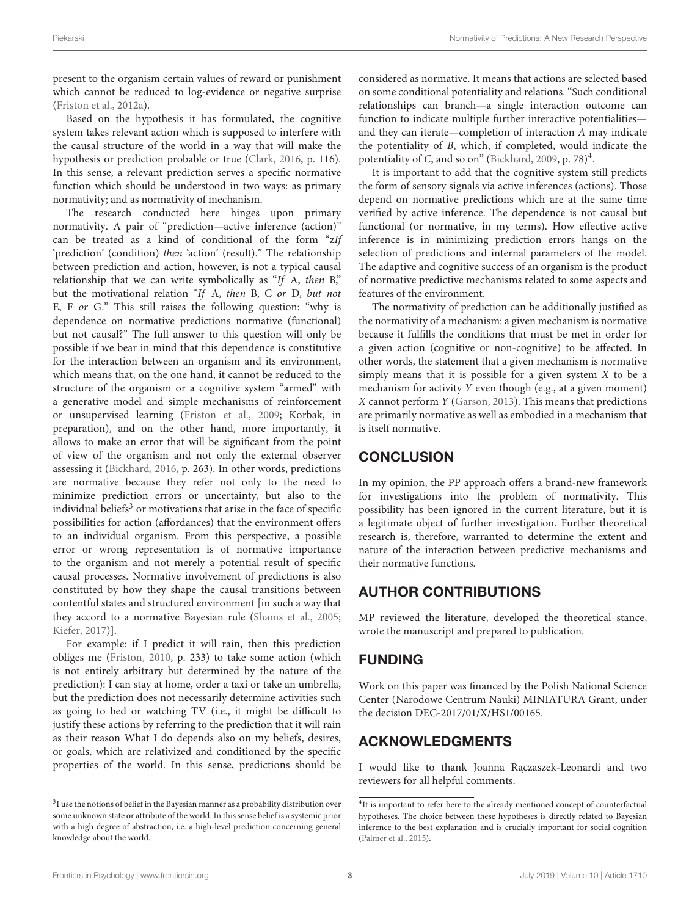present to the organism certain values of reward or punishment which cannot be reduced to log-evidence or negative surprise [\(Friston et al., 2012a\)](#page-3-15).

Based on the hypothesis it has formulated, the cognitive system takes relevant action which is supposed to interfere with the causal structure of the world in a way that will make the hypothesis or prediction probable or true [\(Clark, 2016,](#page-3-6) p. 116). In this sense, a relevant prediction serves a specific normative function which should be understood in two ways: as primary normativity; and as normativity of mechanism.

The research conducted here hinges upon primary normativity. A pair of "prediction—active inference (action)" can be treated as a kind of conditional of the form "zIf 'prediction' (condition) then 'action' (result)." The relationship between prediction and action, however, is not a typical causal relationship that we can write symbolically as "If A, then B," but the motivational relation "If A, then B, C or D, but not E, F or G." This still raises the following question: "why is dependence on normative predictions normative (functional) but not causal?" The full answer to this question will only be possible if we bear in mind that this dependence is constitutive for the interaction between an organism and its environment, which means that, on the one hand, it cannot be reduced to the structure of the organism or a cognitive system "armed" with a generative model and simple mechanisms of reinforcement or unsupervised learning [\(Friston et al., 2009;](#page-3-20) Korbak, in preparation), and on the other hand, more importantly, it allows to make an error that will be significant from the point of view of the organism and not only the external observer assessing it [\(Bickhard, 2016,](#page-3-3) p. 263). In other words, predictions are normative because they refer not only to the need to minimize prediction errors or uncertainty, but also to the individual beliefs $3$  or motivations that arise in the face of specific possibilities for action (affordances) that the environment offers to an individual organism. From this perspective, a possible error or wrong representation is of normative importance to the organism and not merely a potential result of specific causal processes. Normative involvement of predictions is also constituted by how they shape the causal transitions between contentful states and structured environment [in such a way that they accord to a normative Bayesian rule [\(Shams et al., 2005;](#page-3-24) [Kiefer, 2017\)](#page-3-25)].

For example: if I predict it will rain, then this prediction obliges me [\(Friston, 2010,](#page-3-4) p. 233) to take some action (which is not entirely arbitrary but determined by the nature of the prediction): I can stay at home, order a taxi or take an umbrella, but the prediction does not necessarily determine activities such as going to bed or watching TV (i.e., it might be difficult to justify these actions by referring to the prediction that it will rain as their reason What I do depends also on my beliefs, desires, or goals, which are relativized and conditioned by the specific properties of the world. In this sense, predictions should be considered as normative. It means that actions are selected based on some conditional potentiality and relations. "Such conditional relationships can branch—a single interaction outcome can function to indicate multiple further interactive potentialities and they can iterate—completion of interaction A may indicate the potentiality of B, which, if completed, would indicate the potentiality of C, and so on" [\(Bickhard, 2009,](#page-3-26) p. 78) $^4$ .

It is important to add that the cognitive system still predicts the form of sensory signals via active inferences (actions). Those depend on normative predictions which are at the same time verified by active inference. The dependence is not causal but functional (or normative, in my terms). How effective active inference is in minimizing prediction errors hangs on the selection of predictions and internal parameters of the model. The adaptive and cognitive success of an organism is the product of normative predictive mechanisms related to some aspects and features of the environment.

The normativity of prediction can be additionally justified as the normativity of a mechanism: a given mechanism is normative because it fulfills the conditions that must be met in order for a given action (cognitive or non-cognitive) to be affected. In other words, the statement that a given mechanism is normative simply means that it is possible for a given system  $X$  to be a mechanism for activity Y even though (e.g., at a given moment) X cannot perform Y [\(Garson, 2013\)](#page-3-27). This means that predictions are primarily normative as well as embodied in a mechanism that is itself normative.

### **CONCLUSION**

In my opinion, the PP approach offers a brand-new framework for investigations into the problem of normativity. This possibility has been ignored in the current literature, but it is a legitimate object of further investigation. Further theoretical research is, therefore, warranted to determine the extent and nature of the interaction between predictive mechanisms and their normative functions.

### AUTHOR CONTRIBUTIONS

MP reviewed the literature, developed the theoretical stance, wrote the manuscript and prepared to publication.

### FUNDING

Work on this paper was financed by the Polish National Science Center (Narodowe Centrum Nauki) MINIATURA Grant, under the decision DEC-2017/01/X/HS1/00165.

# ACKNOWLEDGMENTS

I would like to thank Joanna Raczaszek-Leonardi and two reviewers for all helpful comments.

<span id="page-2-0"></span> $3$ I use the notions of belief in the Bayesian manner as a probability distribution over some unknown state or attribute of the world. In this sense belief is a systemic prior with a high degree of abstraction, i.e. a high-level prediction concerning general knowledge about the world.

<sup>&</sup>lt;sup>4</sup>It is important to refer here to the already mentioned concept of counterfactual hypotheses. The choice between these hypotheses is directly related to Bayesian inference to the best explanation and is crucially important for social cognition [\(Palmer et al., 2015\)](#page-3-28).